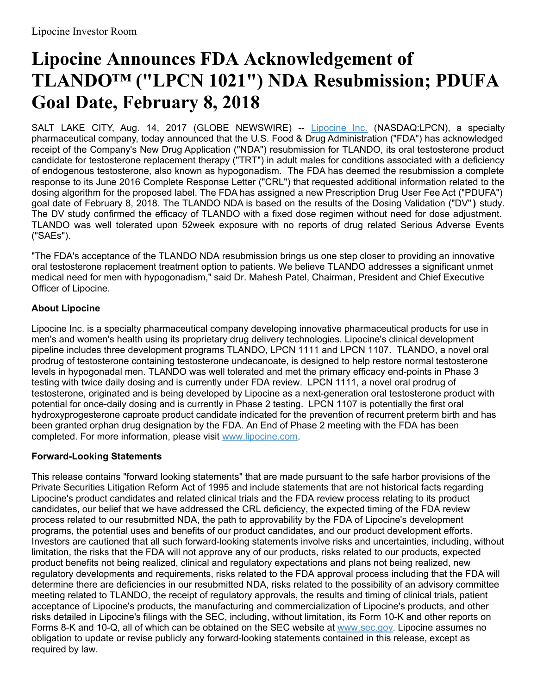## **Lipocine Announces FDA Acknowledgement of TLANDO™ ("LPCN 1021") NDA Resubmission; PDUFA Goal Date, February 8, 2018**

SALT LAKE CITY, Aug. 14, 2017 (GLOBE NEWSWIRE) -- [Lipocine](https://www.globenewswire.com/Tracker?data=j6USEqcnZS2OgR-omnikKdqef15KjwMlthRNpY5TOmu1gd0aWD-YL8nZN6q4pSV1v9NTOs6Zvfy_H64uO7Ih7Q==) Inc. (NASDAQ:LPCN), a specialty pharmaceutical company, today announced that the U.S. Food & Drug Administration ("FDA") has acknowledged receipt of the Company's New Drug Application ("NDA") resubmission for TLANDO, its oral testosterone product candidate for testosterone replacement therapy ("TRT") in adult males for conditions associated with a deficiency of endogenous testosterone, also known as hypogonadism. The FDA has deemed the resubmission a complete response to its June 2016 Complete Response Letter ("CRL") that requested additional information related to the dosing algorithm for the proposed label. The FDA has assigned a new Prescription Drug User Fee Act ("PDUFA") goal date of February 8, 2018. The TLANDO NDA is based on the results of the Dosing Validation ("DV"**)** study. The DV study confirmed the efficacy of TLANDO with a fixed dose regimen without need for dose adjustment. TLANDO was well tolerated upon 52week exposure with no reports of drug related Serious Adverse Events ("SAEs").

"The FDA's acceptance of the TLANDO NDA resubmission brings us one step closer to providing an innovative oral testosterone replacement treatment option to patients. We believe TLANDO addresses a significant unmet medical need for men with hypogonadism," said Dr. Mahesh Patel, Chairman, President and Chief Executive Officer of Lipocine.

## **About Lipocine**

Lipocine Inc. is a specialty pharmaceutical company developing innovative pharmaceutical products for use in men's and women's health using its proprietary drug delivery technologies. Lipocine's clinical development pipeline includes three development programs TLANDO, LPCN 1111 and LPCN 1107. TLANDO, a novel oral prodrug of testosterone containing testosterone undecanoate, is designed to help restore normal testosterone levels in hypogonadal men. TLANDO was well tolerated and met the primary efficacy end-points in Phase 3 testing with twice daily dosing and is currently under FDA review. LPCN 1111, a novel oral prodrug of testosterone, originated and is being developed by Lipocine as a next-generation oral testosterone product with potential for once-daily dosing and is currently in Phase 2 testing. LPCN 1107 is potentially the first oral hydroxyprogesterone caproate product candidate indicated for the prevention of recurrent preterm birth and has been granted orphan drug designation by the FDA. An End of Phase 2 meeting with the FDA has been completed. For more information, please visit [www.lipocine.com](https://www.globenewswire.com/Tracker?data=RF0TOd8SDbMSOdC7IgBGxyJZxPXy9e8mSf196I2-a5FbRNshvxPPOxb6quxr244rfh7V-8fGDHtoKUG8nitrTw==).

## **Forward-Looking Statements**

This release contains "forward looking statements" that are made pursuant to the safe harbor provisions of the Private Securities Litigation Reform Act of 1995 and include statements that are not historical facts regarding Lipocine's product candidates and related clinical trials and the FDA review process relating to its product candidates, our belief that we have addressed the CRL deficiency, the expected timing of the FDA review process related to our resubmitted NDA, the path to approvability by the FDA of Lipocine's development programs, the potential uses and benefits of our product candidates, and our product development efforts. Investors are cautioned that all such forward-looking statements involve risks and uncertainties, including, without limitation, the risks that the FDA will not approve any of our products, risks related to our products, expected product benefits not being realized, clinical and regulatory expectations and plans not being realized, new regulatory developments and requirements, risks related to the FDA approval process including that the FDA will determine there are deficiencies in our resubmitted NDA, risks related to the possibility of an advisory committee meeting related to TLANDO, the receipt of regulatory approvals, the results and timing of clinical trials, patient acceptance of Lipocine's products, the manufacturing and commercialization of Lipocine's products, and other risks detailed in Lipocine's filings with the SEC, including, without limitation, its Form 10-K and other reports on Forms 8-K and 10-Q, all of which can be obtained on the SEC website at [www.sec.gov](https://www.globenewswire.com/Tracker?data=R70Zd6wqoPVQGRwZ3NTGrB9MO8WOnX1_bThdlLStGxX_Q23q4ztIFuhgvgjqcrsamPvpfzNeQDXc1YwJTFmh3w==). Lipocine assumes no obligation to update or revise publicly any forward-looking statements contained in this release, except as required by law.